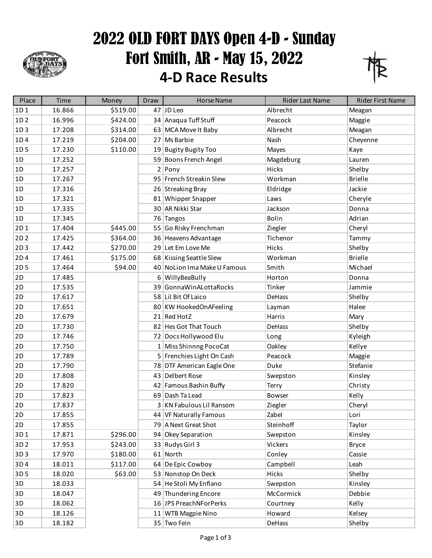

## 2022 OLD FORT DAYS Open 4-D - Sunday Fort Smith, AR - May 15, 2022 **4-D Race Results**



| Place           | Time   | Money    | <b>Draw</b> | Horse Name                  | <b>Rider Last Name</b> | <b>Rider First Name</b> |
|-----------------|--------|----------|-------------|-----------------------------|------------------------|-------------------------|
| 1D1             | 16.866 | \$519.00 |             | 47 JD Leo                   | Albrecht               | Meagan                  |
| 1D <sub>2</sub> | 16.996 | \$424.00 |             | 34 Anaqua Tuff Stuff        | Peacock                | Maggie                  |
| 1D3             | 17.208 | \$314.00 |             | 63 MCA Move It Baby         | Albrecht               | Meagan                  |
| 1D4             | 17.219 | \$204.00 |             | 27 Ms Barbie                | Nash                   | Cheyenne                |
| 1D <sub>5</sub> | 17.230 | \$110.00 |             | 19 Bugity Bugity Too        | Mayes                  | Kaye                    |
| 1D              | 17.252 |          |             | 59 Boons French Angel       | Magdeburg              | Lauren                  |
| 1D              | 17.257 |          |             | $2$ Pony                    | Hicks                  | Shelby                  |
| 1D              | 17.267 |          |             | 95 French Streakin Slew     | Workman                | <b>Brielle</b>          |
| 1D              | 17.316 |          |             | 26 Streaking Bray           | Eldridge               | Jackie                  |
| 1D              | 17.321 |          |             | 81 Whipper Snapper          | Laws                   | Cheryle                 |
| 1D              | 17.335 |          |             | 30 AR Nikki Star            | Jackson                | Donna                   |
| 1D              | 17.345 |          |             | 76 Tangos                   | Bolin                  | Adrian                  |
| 2D1             | 17.404 | \$445.00 |             | 55 Go Risky Frenchman       | Ziegler                | Cheryl                  |
| 2D <sub>2</sub> | 17.425 | \$364.00 |             | 36 Heavens Advantage        | Tichenor               | Tammy                   |
| 2D <sub>3</sub> | 17.442 | \$270.00 |             | 29 Let Em Love Me           | Hicks                  | Shelby                  |
| 2D4             | 17.461 | \$175.00 |             | 68 Kissing Seattle Slew     | Workman                | <b>Brielle</b>          |
| 2D <sub>5</sub> | 17.464 | \$94.00  |             | 40 NoLion Ima Make U Famous | Smith                  | Michael                 |
| 2D              | 17.485 |          |             | 6 WillyBeaBully             | Horton                 | Donna                   |
| 2D              | 17.535 |          |             | 39 GonnaWinALottaRocks      | Tinker                 | Jammie                  |
| 2D              | 17.617 |          |             | 58 Lil Bit Of Laico         | DeHass                 | Shelby                  |
| 2D              | 17.651 |          |             | 80 KW HookedOnAFeeling      | Layman                 | Halee                   |
| 2D              | 17.679 |          |             | 21 Red HotZ                 | Harris                 | Mary                    |
| 2D              | 17.730 |          |             | 82 Hes Got That Touch       | DeHass                 | Shelby                  |
| 2D              | 17.746 |          |             | 72 Docs Hollywood Elu       | Long                   | Kyleigh                 |
| 2D              | 17.750 |          |             | 1 Miss Shinnng PocoCat      | Oakley                 | Kellye                  |
| 2D              | 17.789 |          |             | 5 Frenchies Light On Cash   | Peacock                | Maggie                  |
| 2D              | 17.790 |          |             | 78 DTF American Eagle One   | Duke                   | Stefanie                |
| 2D              | 17.808 |          |             | 43 Delbert Rose             | Swepston               | Kinsley                 |
| 2D              | 17.820 |          |             | 42 Famous Bashin Buffy      | Terry                  | Christy                 |
| 2D              | 17.823 |          |             | 69 Dash Ta Lead             | Bowser                 | Kelly                   |
| 2D              | 17.837 |          |             | 3 KN Fabulous Lil Ransom    | Ziegler                | Cheryl                  |
| 2D              | 17.855 |          |             | 44 VF Naturally Famous      | Zabel                  | Lori                    |
| 2D              | 17.855 |          |             | 79 A Next Great Shot        | Steinhoff              | Taylor                  |
| 3D1             | 17.871 | \$296.00 |             | 94 Okey Separation          | Swepston               | Kinsley                 |
| 3D <sub>2</sub> | 17.953 | \$243.00 |             | 33 Rudys Girl 3             | Vickers                | <b>Bryce</b>            |
| 3D3             | 17.970 | \$180.00 |             | $61$ North                  | Conley                 | Cassie                  |
| 3D4             | 18.011 | \$117.00 |             | 64 De Epic Cowboy           | Campbell               | Leah                    |
| 3D <sub>5</sub> | 18.020 | \$63.00  |             | 53 Nonstop On Deck          | Hicks                  | Shelby                  |
| 3D              | 18.033 |          |             | 54 He Stoli My Enflano      | Swepston               | Kinsley                 |
| 3D              | 18.047 |          |             | 49 Thundering Encore        | McCormick              | Debbie                  |
| 3D              | 18.062 |          |             | 16 JPS Preach NFor Perks    | Courtney               | Kelly                   |
| 3D              | 18.126 |          |             | 11 WTB Magpie Nino          | Howard                 | Kelsey                  |
| 3D              | 18.182 |          |             | 35 Two Fein                 | DeHass                 | Shelby                  |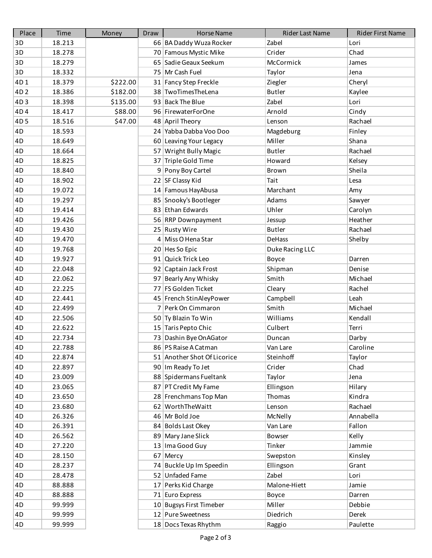| Place           | Time   | Money    | <b>Draw</b> | <b>Horse Name</b>           | <b>Rider Last Name</b> | Rider First Name |
|-----------------|--------|----------|-------------|-----------------------------|------------------------|------------------|
| 3D              | 18.213 |          |             | 66 BA Daddy Wuza Rocker     | Zabel                  | Lori             |
| 3D              | 18.278 |          |             | 70 Famous Mystic Mike       | Crider                 | Chad             |
| 3D              | 18.279 |          |             | 65 Sadie Geaux Seekum       | McCormick              | James            |
| 3D              | 18.332 |          |             | 75 Mr Cash Fuel             | Taylor                 | Jena             |
| 4D1             | 18.379 | \$222.00 |             | 31 Fancy Step Freckle       | Ziegler                | Cheryl           |
| 4D <sub>2</sub> | 18.386 | \$182.00 |             | 38 TwoTimesTheLena          | <b>Butler</b>          | Kaylee           |
| 4D3             | 18.398 | \$135.00 |             | 93 Back The Blue            | Zabel                  | Lori             |
| 4D4             | 18.417 | \$88.00  |             | 96 FirewaterForOne          | Arnold                 | Cindy            |
| 4D <sub>5</sub> | 18.516 | \$47.00  |             | 48 April Theory             | Lenson                 | Rachael          |
| 4D              | 18.593 |          |             | 24 Yabba Dabba Voo Doo      | Magdeburg              | Finley           |
| 4D              | 18.649 |          |             | 60 Leaving Your Legacy      | Miller                 | Shana            |
| 4D              | 18.664 |          |             | 57 Wright Bully Magic       | <b>Butler</b>          | Rachael          |
| 4D              | 18.825 |          |             | 37 Triple Gold Time         | Howard                 | Kelsey           |
| 4D              | 18.840 |          |             | 9 Pony Boy Cartel           | Brown                  | Sheila           |
| 4D              | 18.902 |          |             | 22 SF Classy Kid            | Tait                   | Lesa             |
| 4D              | 19.072 |          |             | 14 Famous HayAbusa          | Marchant               | Amy              |
| 4D              | 19.297 |          |             | 85 Snooky's Bootleger       | Adams                  | Sawyer           |
| 4D              | 19.414 |          |             | 83 Ethan Edwards            | Uhler                  | Carolyn          |
| 4D              | 19.426 |          |             | 56 RRP Downpayment          | Jessup                 | Heather          |
| 4D              | 19.430 |          |             | 25 Rusty Wire               | <b>Butler</b>          | Rachael          |
| 4D              | 19.470 |          |             | 4 Miss O Hena Star          | DeHass                 | Shelby           |
| 4D              | 19.768 |          |             | 20 Hes So Epic              | Duke Racing LLC        |                  |
| 4D              | 19.927 |          |             | 91 Quick Trick Leo          | Boyce                  | Darren           |
| 4D              | 22.048 |          |             | 92 Captain Jack Frost       | Shipman                | Denise           |
| 4D              | 22.062 |          |             | 97 Bearly Any Whisky        | Smith                  | Michael          |
| 4D              | 22.225 |          |             | 77 FS Golden Ticket         | Cleary                 | Rachel           |
| 4D              | 22.441 |          |             | 45 French StinAleyPower     | Campbell               | Leah             |
| 4D              | 22.499 |          |             | 7 Perk On Cimmaron          | Smith                  | Michael          |
| 4D              | 22.506 |          |             | 50 Ty Blazin To Win         | Williams               | Kendall          |
| 4D              | 22.622 |          |             | 15 Taris Pepto Chic         | Culbert                | Terri            |
| 4D              | 22.734 |          |             | 73 Dashin Bye On A Gator    | Duncan                 | Darby            |
| 4D              | 22.788 |          |             | 86 PS Raise A Catman        | Van Lare               | Caroline         |
| 4D              | 22.874 |          |             | 51 Another Shot Of Licorice | Steinhoff              | Taylor           |
| 4D              | 22.897 |          |             | 90 Im Ready To Jet          | Crider                 | Chad             |
| 4D              | 23.009 |          |             | 88 Spidermans Fueltank      | Taylor                 | Jena             |
| 4D              | 23.065 |          |             | 87 PT Credit My Fame        | Ellingson              | Hilary           |
| 4D              | 23.650 |          |             | 28 Frenchmans Top Man       | Thomas                 | Kindra           |
| 4D              | 23.680 |          |             | 62 WorthTheWaitt            | Lenson                 | Rachael          |
| 4D              | 26.326 |          |             | 46 Mr Bold Joe              | McNelly                | Annabella        |
| 4D              | 26.391 |          |             | 84 Bolds Last Okey          | Van Lare               | Fallon           |
| 4D              | 26.562 |          |             | 89 Mary Jane Slick          | Bowser                 | Kelly            |
| 4D              | 27.220 |          |             | 13 Ima Good Guy             | Tinker                 | Jammie           |
| 4D              | 28.150 |          |             | 67 Mercy                    | Swepston               | Kinsley          |
| 4D              | 28.237 |          |             | 74 Buckle Up Im Speedin     | Ellingson              | Grant            |
| 4D              | 28.478 |          |             | 52 Unfaded Fame             | Zabel                  | Lori             |
| 4D              | 88.888 |          |             | 17 Perks Kid Charge         | Malone-Hiett           | Jamie            |
| 4D              | 88.888 |          |             | 71 Euro Express             | Boyce                  | Darren           |
| 4D              | 99.999 |          |             | 10 Bugsys First Timeber     | Miller                 | Debbie           |
| 4D              | 99.999 |          |             | 12 Pure Sweetness           | Diedrich               | Derek            |
| 4D              | 99.999 |          |             | 18 Docs Texas Rhythm        | Raggio                 | Paulette         |